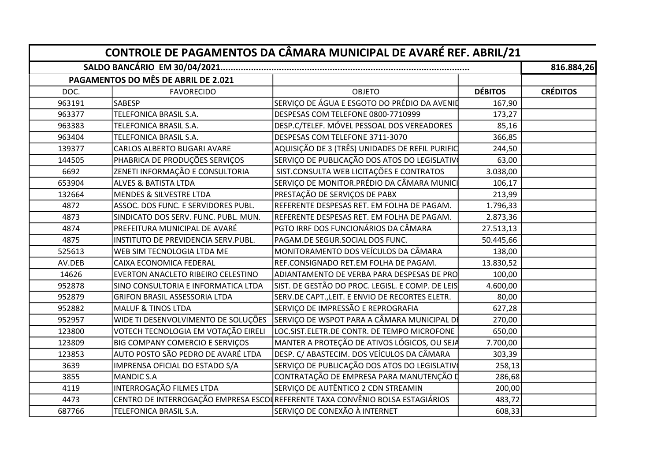|        |                                        |                                                                               |                | 816.884,26      |
|--------|----------------------------------------|-------------------------------------------------------------------------------|----------------|-----------------|
|        | PAGAMENTOS DO MÊS DE ABRIL DE 2.021    |                                                                               |                |                 |
| DOC.   | <b>FAVORECIDO</b>                      | <b>OBJETO</b>                                                                 | <b>DÉBITOS</b> | <b>CRÉDITOS</b> |
| 963191 | <b>SABESP</b>                          | SERVIÇO DE ÁGUA E ESGOTO DO PRÉDIO DA AVENID                                  | 167,90         |                 |
| 963377 | TELEFONICA BRASIL S.A.                 | DESPESAS COM TELEFONE 0800-7710999                                            | 173,27         |                 |
| 963383 | TELEFONICA BRASIL S.A.                 | DESP.C/TELEF. MÓVEL PESSOAL DOS VEREADORES                                    | 85,16          |                 |
| 963404 | TELEFONICA BRASIL S.A.                 | DESPESAS COM TELEFONE 3711-3070                                               | 366,85         |                 |
| 139377 | <b>CARLOS ALBERTO BUGARI AVARE</b>     | AQUISIÇÃO DE 3 (TRÊS) UNIDADES DE REFIL PURIFIC                               | 244,50         |                 |
| 144505 | PHABRICA DE PRODUÇÕES SERVIÇOS         | SERVIÇO DE PUBLICAÇÃO DOS ATOS DO LEGISLATIVO                                 | 63,00          |                 |
| 6692   | ZENETI INFORMAÇÃO E CONSULTORIA        | SIST.CONSULTA WEB LICITAÇÕES E CONTRATOS                                      | 3.038,00       |                 |
| 653904 | <b>ALVES &amp; BATISTA LTDA</b>        | SERVIÇO DE MONITOR.PRÉDIO DA CÂMARA MUNIC                                     | 106,17         |                 |
| 132664 | <b>MENDES &amp; SILVESTRE LTDA</b>     | PRESTAÇÃO DE SERVIÇOS DE PABX                                                 | 213,99         |                 |
| 4872   | ASSOC. DOS FUNC. E SERVIDORES PUBL.    | REFERENTE DESPESAS RET. EM FOLHA DE PAGAM.                                    | 1.796,33       |                 |
| 4873   | SINDICATO DOS SERV. FUNC. PUBL. MUN.   | REFERENTE DESPESAS RET. EM FOLHA DE PAGAM.                                    | 2.873,36       |                 |
| 4874   | PREFEITURA MUNICIPAL DE AVARÉ          | PGTO IRRF DOS FUNCIONÁRIOS DA CÂMARA                                          | 27.513,13      |                 |
| 4875   | INSTITUTO DE PREVIDENCIA SERV.PUBL.    | PAGAM.DE SEGUR.SOCIAL DOS FUNC.                                               | 50.445,66      |                 |
| 525613 | WEB SIM TECNOLOGIA LTDA ME             | MONITORAMENTO DOS VEÍCULOS DA CÂMARA                                          | 138,00         |                 |
| AV.DEB | CAIXA ECONOMICA FEDERAL                | REF.CONSIGNADO RET.EM FOLHA DE PAGAM.                                         | 13.830,52      |                 |
| 14626  | EVERTON ANACLETO RIBEIRO CELESTINO     | ADIANTAMENTO DE VERBA PARA DESPESAS DE PRO                                    | 100,00         |                 |
| 952878 | SINO CONSULTORIA E INFORMATICA LTDA    | SIST. DE GESTÃO DO PROC. LEGISL. E COMP. DE LEIS                              | 4.600,00       |                 |
| 952879 | <b>GRIFON BRASIL ASSESSORIA LTDA</b>   | SERV.DE CAPT., LEIT. E ENVIO DE RECORTES ELETR.                               | 80,00          |                 |
| 952882 | <b>MALUF &amp; TINOS LTDA</b>          | SERVIÇO DE IMPRESSÃO E REPROGRAFIA                                            | 627,28         |                 |
| 952957 | WIDE TI DESENVOLVIMENTO DE SOLUÇÕES    | SERVIÇO DE WSPOT PARA A CÂMARA MUNICIPAL DI                                   | 270,00         |                 |
| 123800 | VOTECH TECNOLOGIA EM VOTAÇÃO EIRELI    | LOC.SIST.ELETR.DE CONTR. DE TEMPO MICROFONE                                   | 650,00         |                 |
| 123809 | <b>BIG COMPANY COMERCIO E SERVIÇOS</b> | MANTER A PROTEÇÃO DE ATIVOS LÓGICOS, OU SEJA                                  | 7.700,00       |                 |
| 123853 | AUTO POSTO SÃO PEDRO DE AVARÉ LTDA     | DESP. C/ ABASTECIM. DOS VEÍCULOS DA CÂMARA                                    | 303,39         |                 |
| 3639   | IMPRENSA OFICIAL DO ESTADO S/A         | SERVIÇO DE PUBLICAÇÃO DOS ATOS DO LEGISLATIVO                                 | 258,13         |                 |
| 3855   | MANDIC S.A                             | CONTRATAÇÃO DE EMPRESA PARA MANUTENÇÃO D                                      | 286,68         |                 |
| 4119   | INTERROGAÇÃO FILMES LTDA               | SERVIÇO DE AUTÊNTICO 2 CDN STREAMIN                                           | 200,00         |                 |
| 4473   |                                        | CENTRO DE INTERROGAÇÃO EMPRESA ESCOUREFERENTE TAXA CONVÊNIO BOLSA ESTAGIÁRIOS | 483,72         |                 |
| 687766 | TELEFONICA BRASIL S.A.                 | SERVIÇO DE CONEXÃO À INTERNET                                                 | 608,33         |                 |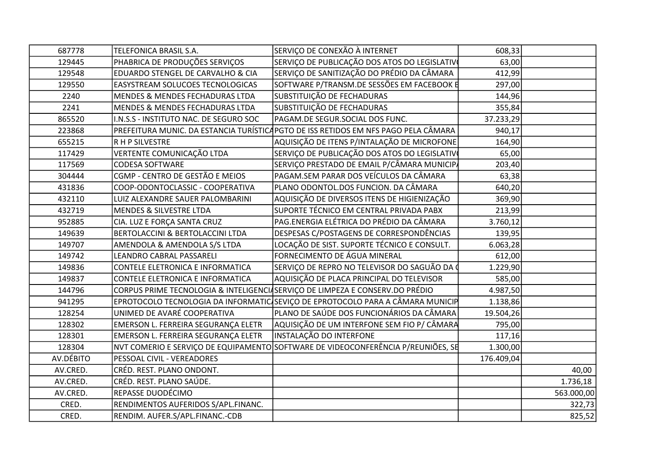| 687778    | TELEFONICA BRASIL S.A.                 | SERVIÇO DE CONEXÃO À INTERNET                                                       | 608,33     |            |
|-----------|----------------------------------------|-------------------------------------------------------------------------------------|------------|------------|
| 129445    | PHABRICA DE PRODUÇÕES SERVIÇOS         | SERVIÇO DE PUBLICAÇÃO DOS ATOS DO LEGISLATIVO                                       | 63,00      |            |
| 129548    | EDUARDO STENGEL DE CARVALHO & CIA      | SERVIÇO DE SANITIZAÇÃO DO PRÉDIO DA CÂMARA                                          | 412,99     |            |
| 129550    | EASYSTREAM SOLUCOES TECNOLOGICAS       | SOFTWARE P/TRANSM.DE SESSÕES EM FACEBOOK E                                          | 297,00     |            |
| 2240      | MENDES & MENDES FECHADURAS LTDA        | SUBSTITUIÇÃO DE FECHADURAS                                                          | 144,96     |            |
| 2241      | MENDES & MENDES FECHADURAS LTDA        | SUBSTITUIÇÃO DE FECHADURAS                                                          | 355,84     |            |
| 865520    | I.N.S.S - INSTITUTO NAC. DE SEGURO SOC | PAGAM.DE SEGUR.SOCIAL DOS FUNC.                                                     | 37.233,29  |            |
| 223868    |                                        | PREFEITURA MUNIC. DA ESTANCIA TURÍSTICA PGTO DE ISS RETIDOS EM NFS PAGO PELA CÂMARA | 940,17     |            |
| 655215    | R H P SILVESTRE                        | AQUISIÇÃO DE ITENS P/INTALAÇÃO DE MICROFONE                                         | 164,90     |            |
| 117429    | VERTENTE COMUNICAÇÃO LTDA              | SERVIÇO DE PUBLICAÇÃO DOS ATOS DO LEGISLATIVO                                       | 65,00      |            |
| 117569    | <b>CODESA SOFTWARE</b>                 | SERVIÇO PRESTADO DE EMAIL P/CÂMARA MUNICIP                                          | 203,40     |            |
| 304444    | CGMP - CENTRO DE GESTÃO E MEIOS        | PAGAM.SEM PARAR DOS VEÍCULOS DA CÂMARA                                              | 63,38      |            |
| 431836    | COOP-ODONTOCLASSIC - COOPERATIVA       | PLANO ODONTOL.DOS FUNCION. DA CÂMARA                                                | 640,20     |            |
| 432110    | LUIZ ALEXANDRE SAUER PALOMBARINI       | AQUISIÇÃO DE DIVERSOS ITENS DE HIGIENIZAÇÃO                                         | 369,90     |            |
| 432719    | MENDES & SILVESTRE LTDA                | SUPORTE TÉCNICO EM CENTRAL PRIVADA PABX                                             | 213,99     |            |
| 952885    | CIA. LUZ E FORÇA SANTA CRUZ            | PAG.ENERGIA ELÉTRICA DO PRÉDIO DA CÂMARA                                            | 3.760,12   |            |
| 149639    | BERTOLACCINI & BERTOLACCINI LTDA       | DESPESAS C/POSTAGENS DE CORRESPONDÊNCIAS                                            | 139,95     |            |
| 149707    | AMENDOLA & AMENDOLA S/S LTDA           | LOCAÇÃO DE SIST. SUPORTE TÉCNICO E CONSULT.                                         | 6.063,28   |            |
| 149742    | LEANDRO CABRAL PASSARELI               | FORNECIMENTO DE ÁGUA MINERAL                                                        | 612,00     |            |
| 149836    | CONTELE ELETRONICA E INFORMATICA       | SERVIÇO DE REPRO NO TELEVISOR DO SAGUÃO DA 0                                        | 1.229,90   |            |
| 149837    | CONTELE ELETRONICA E INFORMATICA       | AQUISIÇÃO DE PLACA PRINCIPAL DO TELEVISOR                                           | 585,00     |            |
| 144796    |                                        | CORPUS PRIME TECNOLOGIA & INTELIGENCIASERVIÇO DE LIMPEZA E CONSERV.DO PRÉDIO        | 4.987,50   |            |
| 941295    |                                        | EPROTOCOLO TECNOLOGIA DA INFORMATIC SEVIÇO DE EPROTOCOLO PARA A CÂMARA MUNICIP      | 1.138,86   |            |
| 128254    | UNIMED DE AVARÉ COOPERATIVA            | PLANO DE SAÚDE DOS FUNCIONÁRIOS DA CÂMARA                                           | 19.504,26  |            |
| 128302    | EMERSON L. FERREIRA SEGURANÇA ELETR    | AQUISIÇÃO DE UM INTERFONE SEM FIO P/ CÂMARA                                         | 795,00     |            |
| 128301    | EMERSON L. FERREIRA SEGURANÇA ELETR    | <b>INSTALAÇÃO DO INTERFONE</b>                                                      | 117,16     |            |
| 128304    |                                        | NVT COMERIO E SERVIÇO DE EQUIPAMENTO SOFTWARE DE VIDEOCONFERÊNCIA P/REUNIÕES, SE    | 1.300,00   |            |
| AV.DÉBITO | PESSOAL CIVIL - VEREADORES             |                                                                                     | 176.409,04 |            |
| AV.CRED.  | CRÉD. REST. PLANO ONDONT.              |                                                                                     |            | 40,00      |
| AV.CRED.  | CRÉD. REST. PLANO SAÚDE.               |                                                                                     |            | 1.736,18   |
| AV.CRED.  | REPASSE DUODÉCIMO                      |                                                                                     |            | 563.000,00 |
| CRED.     | RENDIMENTOS AUFERIDOS S/APL.FINANC.    |                                                                                     |            | 322,73     |
| CRED.     | RENDIM. AUFER.S/APL.FINANC.-CDB        |                                                                                     |            | 825,52     |